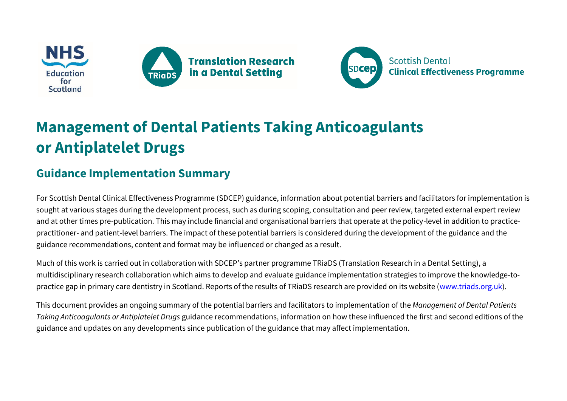





## **Management of Dental Patients Taking Anticoagulants or Antiplatelet Drugs**

## **Guidance Implementation Summary**

For Scottish Dental Clinical Effectiveness Programme (SDCEP) guidance, information about potential barriers and facilitators for implementation is sought at various stages during the development process, such as during scoping, consultation and peer review, targeted external expert review and at other times pre-publication. This may include financial and organisational barriers that operate at the policy-level in addition to practicepractitioner- and patient-level barriers. The impact of these potential barriers is considered during the development of the guidance and the guidance recommendations, content and format may be influenced or changed as a result.

Much of this work is carried out in collaboration with SDCEP's partner programme TRiaDS (Translation Research in a Dental Setting), a multidisciplinary research collaboration which aims to develop and evaluate guidance implementation strategies to improve the knowledge-topractice gap in primary care dentistry in Scotland. Reports of the results of TRiaDS research are provided on its website [\(www.triads.org.uk\)](http://www.triads.org.uk/).

This document provides an ongoing summary of the potential barriers and facilitators to implementation of the *Management of Dental Patients Taking Anticoagulants or Antiplatelet Drugs* guidance recommendations, information on how these influenced the first and second editions of the guidance and updates on any developments since publication of the guidance that may affect implementation.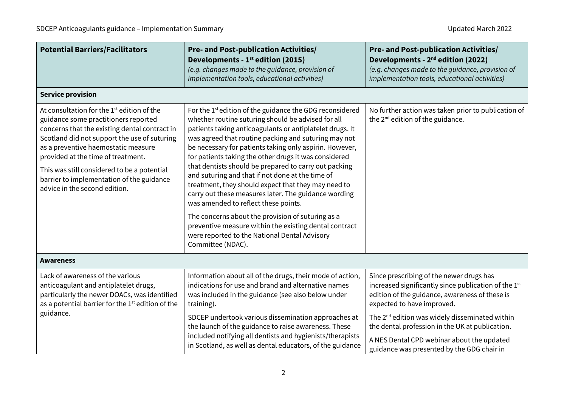| <b>Potential Barriers/Facilitators</b>                                                                                                                                                                                                                                                                                                                                                                    | <b>Pre- and Post-publication Activities/</b><br>Developments - 1 <sup>st</sup> edition (2015)<br>(e.g. changes made to the guidance, provision of<br>implementation tools, educational activities)                                                                                                                                                                                                                                                                                                                                                                                                                                                                                                                                                                                                                          | <b>Pre- and Post-publication Activities/</b><br>Developments - 2 <sup>nd</sup> edition (2022)<br>(e.g. changes made to the guidance, provision of<br>implementation tools, educational activities)                                                                                                |  |  |
|-----------------------------------------------------------------------------------------------------------------------------------------------------------------------------------------------------------------------------------------------------------------------------------------------------------------------------------------------------------------------------------------------------------|-----------------------------------------------------------------------------------------------------------------------------------------------------------------------------------------------------------------------------------------------------------------------------------------------------------------------------------------------------------------------------------------------------------------------------------------------------------------------------------------------------------------------------------------------------------------------------------------------------------------------------------------------------------------------------------------------------------------------------------------------------------------------------------------------------------------------------|---------------------------------------------------------------------------------------------------------------------------------------------------------------------------------------------------------------------------------------------------------------------------------------------------|--|--|
| <b>Service provision</b>                                                                                                                                                                                                                                                                                                                                                                                  |                                                                                                                                                                                                                                                                                                                                                                                                                                                                                                                                                                                                                                                                                                                                                                                                                             |                                                                                                                                                                                                                                                                                                   |  |  |
| At consultation for the 1 <sup>st</sup> edition of the<br>guidance some practitioners reported<br>concerns that the existing dental contract in<br>Scotland did not support the use of suturing<br>as a preventive haemostatic measure<br>provided at the time of treatment.<br>This was still considered to be a potential<br>barrier to implementation of the guidance<br>advice in the second edition. | For the 1 <sup>st</sup> edition of the guidance the GDG reconsidered<br>whether routine suturing should be advised for all<br>patients taking anticoagulants or antiplatelet drugs. It<br>was agreed that routine packing and suturing may not<br>be necessary for patients taking only aspirin. However,<br>for patients taking the other drugs it was considered<br>that dentists should be prepared to carry out packing<br>and suturing and that if not done at the time of<br>treatment, they should expect that they may need to<br>carry out these measures later. The guidance wording<br>was amended to reflect these points.<br>The concerns about the provision of suturing as a<br>preventive measure within the existing dental contract<br>were reported to the National Dental Advisory<br>Committee (NDAC). | No further action was taken prior to publication of<br>the 2 <sup>nd</sup> edition of the guidance.                                                                                                                                                                                               |  |  |
| <b>Awareness</b>                                                                                                                                                                                                                                                                                                                                                                                          |                                                                                                                                                                                                                                                                                                                                                                                                                                                                                                                                                                                                                                                                                                                                                                                                                             |                                                                                                                                                                                                                                                                                                   |  |  |
| Lack of awareness of the various<br>anticoagulant and antiplatelet drugs,<br>particularly the newer DOACs, was identified<br>as a potential barrier for the 1 <sup>st</sup> edition of the<br>guidance.                                                                                                                                                                                                   | Information about all of the drugs, their mode of action,<br>indications for use and brand and alternative names<br>was included in the guidance (see also below under<br>training).<br>SDCEP undertook various dissemination approaches at<br>the launch of the guidance to raise awareness. These<br>included notifying all dentists and hygienists/therapists<br>in Scotland, as well as dental educators, of the guidance                                                                                                                                                                                                                                                                                                                                                                                               | Since prescribing of the newer drugs has<br>increased significantly since publication of the 1st<br>edition of the guidance, awareness of these is<br>expected to have improved.<br>The 2 <sup>nd</sup> edition was widely disseminated within<br>the dental profession in the UK at publication. |  |  |
|                                                                                                                                                                                                                                                                                                                                                                                                           |                                                                                                                                                                                                                                                                                                                                                                                                                                                                                                                                                                                                                                                                                                                                                                                                                             | A NES Dental CPD webinar about the updated<br>guidance was presented by the GDG chair in                                                                                                                                                                                                          |  |  |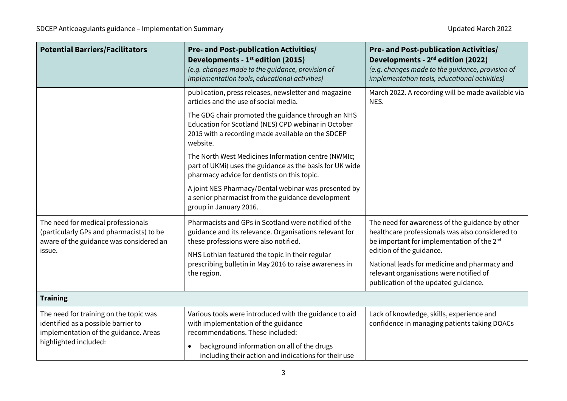| <b>Potential Barriers/Facilitators</b>                                                                                                          | <b>Pre- and Post-publication Activities/</b><br>Developments - 1 <sup>st</sup> edition (2015)<br>(e.g. changes made to the guidance, provision of<br>implementation tools, educational activities)                                                                                  | <b>Pre- and Post-publication Activities/</b><br>Developments - 2 <sup>nd</sup> edition (2022)<br>(e.g. changes made to the guidance, provision of<br>implementation tools, educational activities) |
|-------------------------------------------------------------------------------------------------------------------------------------------------|-------------------------------------------------------------------------------------------------------------------------------------------------------------------------------------------------------------------------------------------------------------------------------------|----------------------------------------------------------------------------------------------------------------------------------------------------------------------------------------------------|
|                                                                                                                                                 | publication, press releases, newsletter and magazine<br>articles and the use of social media.                                                                                                                                                                                       | March 2022. A recording will be made available via<br>NES.                                                                                                                                         |
|                                                                                                                                                 | The GDG chair promoted the guidance through an NHS<br>Education for Scotland (NES) CPD webinar in October<br>2015 with a recording made available on the SDCEP<br>website.                                                                                                          |                                                                                                                                                                                                    |
|                                                                                                                                                 | The North West Medicines Information centre (NWMIc;<br>part of UKMi) uses the guidance as the basis for UK wide<br>pharmacy advice for dentists on this topic.                                                                                                                      |                                                                                                                                                                                                    |
|                                                                                                                                                 | A joint NES Pharmacy/Dental webinar was presented by<br>a senior pharmacist from the guidance development<br>group in January 2016.                                                                                                                                                 |                                                                                                                                                                                                    |
| The need for medical professionals<br>(particularly GPs and pharmacists) to be<br>aware of the guidance was considered an<br>issue.             | Pharmacists and GPs in Scotland were notified of the<br>guidance and its relevance. Organisations relevant for<br>these professions were also notified.<br>NHS Lothian featured the topic in their regular<br>prescribing bulletin in May 2016 to raise awareness in<br>the region. | The need for awareness of the guidance by other<br>healthcare professionals was also considered to<br>be important for implementation of the 2 <sup>nd</sup><br>edition of the guidance.           |
|                                                                                                                                                 |                                                                                                                                                                                                                                                                                     | National leads for medicine and pharmacy and<br>relevant organisations were notified of<br>publication of the updated guidance.                                                                    |
| <b>Training</b>                                                                                                                                 |                                                                                                                                                                                                                                                                                     |                                                                                                                                                                                                    |
| The need for training on the topic was<br>identified as a possible barrier to<br>implementation of the guidance. Areas<br>highlighted included: | Various tools were introduced with the guidance to aid<br>with implementation of the guidance<br>recommendations. These included:<br>background information on all of the drugs<br>$\bullet$<br>including their action and indications for their use                                | Lack of knowledge, skills, experience and<br>confidence in managing patients taking DOACs                                                                                                          |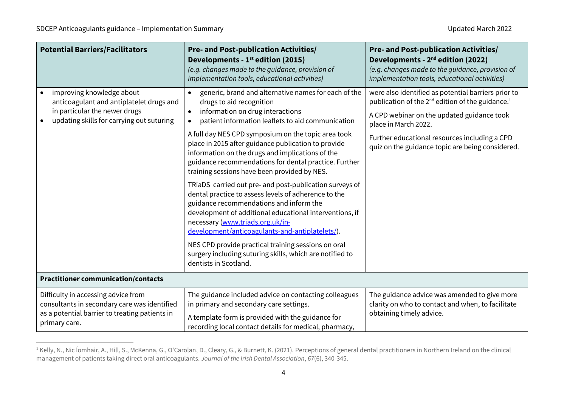| <b>Potential Barriers/Facilitators</b>                                                                                                                 | <b>Pre- and Post-publication Activities/</b><br>Developments - 1 <sup>st</sup> edition (2015)<br>(e.g. changes made to the guidance, provision of<br>implementation tools, educational activities)                                                                                                                                                                                                                                                                                                                                                                                                                                                                                                                                                                                                                                                                                                                            | <b>Pre- and Post-publication Activities/</b><br>Developments - 2 <sup>nd</sup> edition (2022)<br>(e.g. changes made to the guidance, provision of<br>implementation tools, educational activities)                                                                                                         |
|--------------------------------------------------------------------------------------------------------------------------------------------------------|-------------------------------------------------------------------------------------------------------------------------------------------------------------------------------------------------------------------------------------------------------------------------------------------------------------------------------------------------------------------------------------------------------------------------------------------------------------------------------------------------------------------------------------------------------------------------------------------------------------------------------------------------------------------------------------------------------------------------------------------------------------------------------------------------------------------------------------------------------------------------------------------------------------------------------|------------------------------------------------------------------------------------------------------------------------------------------------------------------------------------------------------------------------------------------------------------------------------------------------------------|
| improving knowledge about<br>anticoagulant and antiplatelet drugs and<br>in particular the newer drugs<br>updating skills for carrying out suturing    | generic, brand and alternative names for each of the<br>drugs to aid recognition<br>information on drug interactions<br>$\bullet$<br>patient information leaflets to aid communication<br>A full day NES CPD symposium on the topic area took<br>place in 2015 after guidance publication to provide<br>information on the drugs and implications of the<br>guidance recommendations for dental practice. Further<br>training sessions have been provided by NES.<br>TRiaDS carried out pre- and post-publication surveys of<br>dental practice to assess levels of adherence to the<br>guidance recommendations and inform the<br>development of additional educational interventions, if<br>necessary (www.triads.org.uk/in-<br>development/anticoagulants-and-antiplatelets/).<br>NES CPD provide practical training sessions on oral<br>surgery including suturing skills, which are notified to<br>dentists in Scotland. | were also identified as potential barriers prior to<br>publication of the 2 <sup>nd</sup> edition of the guidance. <sup>1</sup><br>A CPD webinar on the updated guidance took<br>place in March 2022.<br>Further educational resources including a CPD<br>quiz on the guidance topic are being considered. |
| <b>Practitioner communication/contacts</b>                                                                                                             |                                                                                                                                                                                                                                                                                                                                                                                                                                                                                                                                                                                                                                                                                                                                                                                                                                                                                                                               |                                                                                                                                                                                                                                                                                                            |
| Difficulty in accessing advice from<br>consultants in secondary care was identified<br>as a potential barrier to treating patients in<br>primary care. | The guidance included advice on contacting colleagues<br>in primary and secondary care settings.<br>A template form is provided with the guidance for<br>recording local contact details for medical, pharmacy,                                                                                                                                                                                                                                                                                                                                                                                                                                                                                                                                                                                                                                                                                                               | The guidance advice was amended to give more<br>clarity on who to contact and when, to facilitate<br>obtaining timely advice.                                                                                                                                                                              |

<sup>&</sup>lt;sup>1</sup> Kelly, N., Nic Íomhair, A., Hill, S., McKenna, G., O'Carolan, D., Cleary, G., & Burnett, K. (2021). Perceptions of general dental practitioners in Northern Ireland on the clinical management of patients taking direct oral anticoagulants. *Journal of the Irish Dental Association*, *67*(6), 340-345.